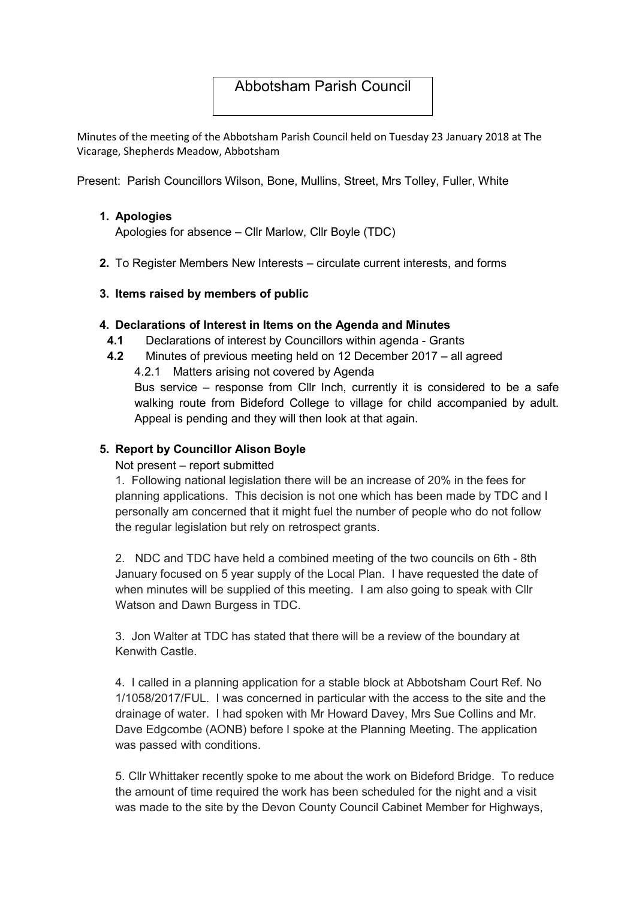# Abbotsham Parish Council

Minutes of the meeting of the Abbotsham Parish Council held on Tuesday 23 January 2018 at The Vicarage, Shepherds Meadow, Abbotsham

Present: Parish Councillors Wilson, Bone, Mullins, Street, Mrs Tolley, Fuller, White

### 1. Apologies

Apologies for absence – Cllr Marlow, Cllr Boyle (TDC)

2. To Register Members New Interests – circulate current interests, and forms

### 3. Items raised by members of public

### 4. Declarations of Interest in Items on the Agenda and Minutes

- 4.1 Declarations of interest by Councillors within agenda Grants
- 4.2 Minutes of previous meeting held on 12 December 2017 all agreed
	- 4.2.1 Matters arising not covered by Agenda Bus service – response from Cllr Inch, currently it is considered to be a safe walking route from Bideford College to village for child accompanied by adult. Appeal is pending and they will then look at that again.

### 5. Report by Councillor Alison Boyle

### Not present – report submitted

1. Following national legislation there will be an increase of 20% in the fees for planning applications. This decision is not one which has been made by TDC and I personally am concerned that it might fuel the number of people who do not follow the regular legislation but rely on retrospect grants.

2. NDC and TDC have held a combined meeting of the two councils on 6th - 8th January focused on 5 year supply of the Local Plan. I have requested the date of when minutes will be supplied of this meeting. I am also going to speak with Cllr Watson and Dawn Burgess in TDC.

3. Jon Walter at TDC has stated that there will be a review of the boundary at Kenwith Castle.

4. I called in a planning application for a stable block at Abbotsham Court Ref. No 1/1058/2017/FUL. I was concerned in particular with the access to the site and the drainage of water. I had spoken with Mr Howard Davey, Mrs Sue Collins and Mr. Dave Edgcombe (AONB) before I spoke at the Planning Meeting. The application was passed with conditions.

5. Cllr Whittaker recently spoke to me about the work on Bideford Bridge. To reduce the amount of time required the work has been scheduled for the night and a visit was made to the site by the Devon County Council Cabinet Member for Highways,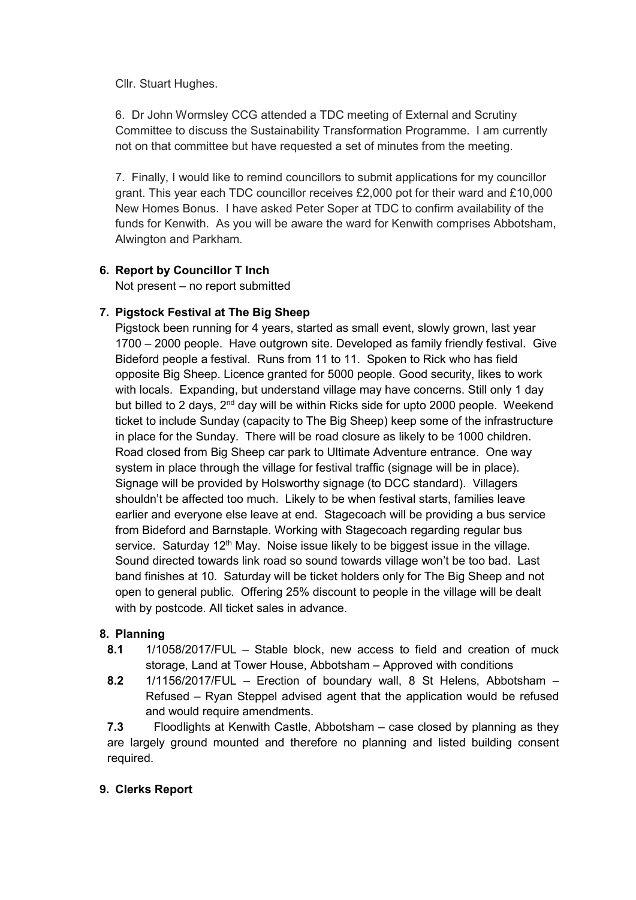Cllr. Stuart Hughes.

6. Dr John Wormsley CCG attended a TDC meeting of External and Scrutiny Committee to discuss the Sustainability Transformation Programme. I am currently not on that committee but have requested a set of minutes from the meeting.

7. Finally, I would like to remind councillors to submit applications for my councillor grant. This year each TDC councillor receives £2,000 pot for their ward and £10,000 New Homes Bonus. I have asked Peter Soper at TDC to confirm availability of the funds for Kenwith. As you will be aware the ward for Kenwith comprises Abbotsham, Alwington and Parkham.

# 6. Report by Councillor T Inch

Not present – no report submitted

# 7. Pigstock Festival at The Big Sheep

Pigstock been running for 4 years, started as small event, slowly grown, last year 1700 – 2000 people. Have outgrown site. Developed as family friendly festival. Give Bideford people a festival. Runs from 11 to 11. Spoken to Rick who has field opposite Big Sheep. Licence granted for 5000 people. Good security, likes to work with locals. Expanding, but understand village may have concerns. Still only 1 day but billed to 2 days,  $2<sup>nd</sup>$  day will be within Ricks side for upto 2000 people. Weekend ticket to include Sunday (capacity to The Big Sheep) keep some of the infrastructure in place for the Sunday. There will be road closure as likely to be 1000 children. Road closed from Big Sheep car park to Ultimate Adventure entrance. One way system in place through the village for festival traffic (signage will be in place). Signage will be provided by Holsworthy signage (to DCC standard). Villagers shouldn't be affected too much. Likely to be when festival starts, families leave earlier and everyone else leave at end. Stagecoach will be providing a bus service from Bideford and Barnstaple. Working with Stagecoach regarding regular bus service. Saturday  $12<sup>th</sup>$  May. Noise issue likely to be biggest issue in the village. Sound directed towards link road so sound towards village won't be too bad. Last band finishes at 10. Saturday will be ticket holders only for The Big Sheep and not open to general public. Offering 25% discount to people in the village will be dealt with by postcode. All ticket sales in advance.

# 8. Planning

- 8.1 1/1058/2017/FUL Stable block, new access to field and creation of muck storage, Land at Tower House, Abbotsham – Approved with conditions
- 8.2 1/1156/2017/FUL Erection of boundary wall, 8 St Helens, Abbotsham Refused – Ryan Steppel advised agent that the application would be refused and would require amendments.

7.3 Floodlights at Kenwith Castle, Abbotsham – case closed by planning as they are largely ground mounted and therefore no planning and listed building consent required.

# 9. Clerks Report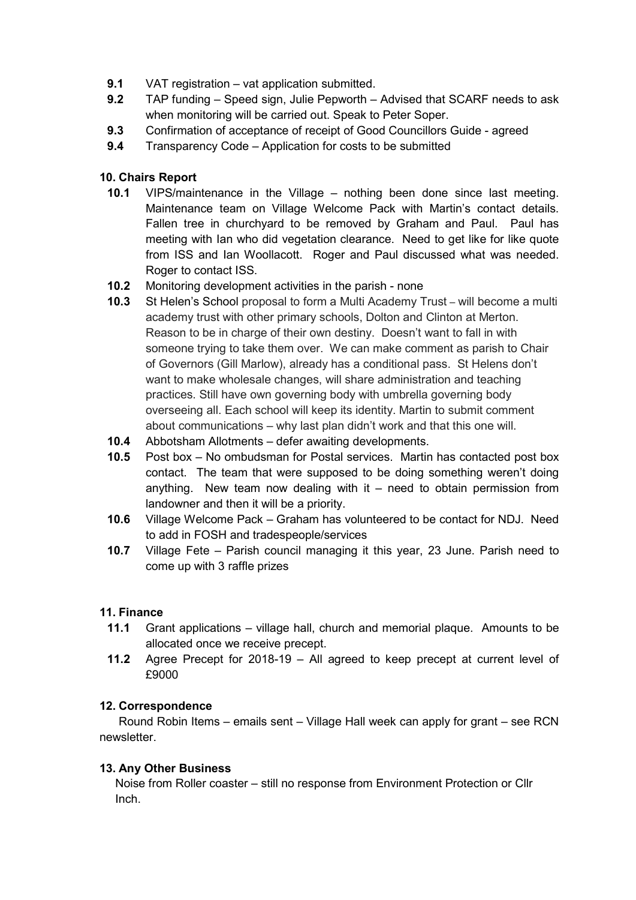- 9.1 VAT registration vat application submitted.
- 9.2 TAP funding Speed sign, Julie Pepworth Advised that SCARF needs to ask when monitoring will be carried out. Speak to Peter Soper.
- 9.3 Confirmation of acceptance of receipt of Good Councillors Guide agreed
- 9.4 Transparency Code Application for costs to be submitted

# 10. Chairs Report

- 10.1 VIPS/maintenance in the Village nothing been done since last meeting. Maintenance team on Village Welcome Pack with Martin's contact details. Fallen tree in churchyard to be removed by Graham and Paul. Paul has meeting with Ian who did vegetation clearance. Need to get like for like quote from ISS and Ian Woollacott. Roger and Paul discussed what was needed. Roger to contact ISS.
- 10.2 Monitoring development activities in the parish none
- 10.3 St Helen's School proposal to form a Multi Academy Trust will become a multi academy trust with other primary schools, Dolton and Clinton at Merton. Reason to be in charge of their own destiny. Doesn't want to fall in with someone trying to take them over. We can make comment as parish to Chair of Governors (Gill Marlow), already has a conditional pass. St Helens don't want to make wholesale changes, will share administration and teaching practices. Still have own governing body with umbrella governing body overseeing all. Each school will keep its identity. Martin to submit comment about communications – why last plan didn't work and that this one will.
- 10.4 Abbotsham Allotments defer awaiting developments.
- 10.5 Post box No ombudsman for Postal services. Martin has contacted post box contact. The team that were supposed to be doing something weren't doing anything. New team now dealing with it – need to obtain permission from landowner and then it will be a priority.
- 10.6 Village Welcome Pack Graham has volunteered to be contact for NDJ. Need to add in FOSH and tradespeople/services
- 10.7 Village Fete Parish council managing it this year, 23 June. Parish need to come up with 3 raffle prizes

### 11. Finance

- 11.1 Grant applications village hall, church and memorial plaque. Amounts to be allocated once we receive precept.
- 11.2 Agree Precept for 2018-19 All agreed to keep precept at current level of £9000

### 12. Correspondence

Round Robin Items – emails sent – Village Hall week can apply for grant – see RCN newsletter.

### 13. Any Other Business

Noise from Roller coaster – still no response from Environment Protection or Cllr Inch.